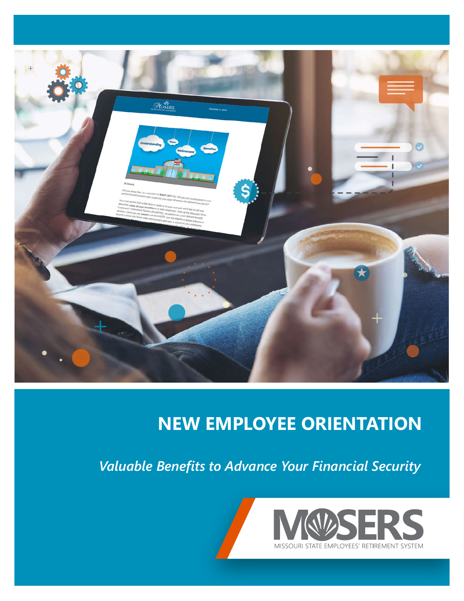

## **NEW EMPLOYEE ORIENTATION**

*Valuable Benefits to Advance Your Financial Security*



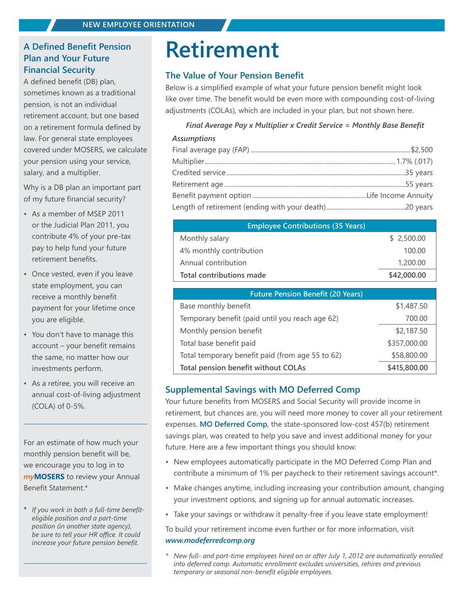### **A Defined Benefit Pension Plan and Your Future Financial Security**

A defined benefit (DB) plan, sometimes known as a traditional pension, is not an individual retirement account, but one based on a retirement formula defined by law. For general state employees covered under MOSERS, we calculate your pension using your service, salary, and a multiplier.

Why is a DB plan an important part of my future financial security?

- As a member of MSEP 2011 or the Judicial Plan 2011, you contribute 4% of your pre-tax pay to help fund your future retirement benefits.
- Once vested, even if you leave state employment, you can receive a monthly benefit payment for your lifetime once you are eligible.
- You don't have to manage this account – your benefit remains the same, no matter how our investments perform.
- As a retiree, you will receive an annual cost-of-living adjustment (COLA) of 0-5%.

For an estimate of how much your monthly pension benefit will be, we encourage you to log in to *my***[MOSERS](https://webaccess.mosers.org/MWSP/CCLGN3.pgm)** to review your Annual Benefit Statement.\*

**\*** *If you work in both a full-time benefiteligible position and a part-time position (in another state agency), be sure to tell your HR office. It could increase your future pension benefit.*

## **Retirement**

### **The Value of Your Pension Benefit**

Below is a simplified example of what your future pension benefit might look like over time. The benefit would be even more with compounding cost-of-living adjustments (COLAs), which are included in your plan, but not shown here.

### *Final Average Pay x Multiplier x Credit Service = Monthly Base Benefit*

#### *Assumptions*

| <b>Employee Contributions (35 Years)</b> |             |  |
|------------------------------------------|-------------|--|
| Monthly salary                           | \$2,500.00  |  |
| 4% monthly contribution                  | 100.00      |  |
| Annual contribution                      | 1,200.00    |  |
| Total contributions made                 | \$42,000.00 |  |

| <b>Future Pension Benefit (20 Years)</b>         |              |  |
|--------------------------------------------------|--------------|--|
| Base monthly benefit                             | \$1,487.50   |  |
| Temporary benefit (paid until you reach age 62)  | 700.00       |  |
| Monthly pension benefit                          | \$2,187.50   |  |
| Total base benefit paid                          | \$357,000.00 |  |
| Total temporary benefit paid (from age 55 to 62) | \$58,800.00  |  |
| Total pension benefit without COLAs              | \$415,800.00 |  |

### **Supplemental Savings with MO Deferred Comp**

Your future benefits from MOSERS and Social Security will provide income in retirement, but chances are, you will need more money to cover all your retirement expenses. **[MO Deferred Comp](https://www.modeferredcomp.org/)**, the state-sponsored low-cost 457(b) retirement savings plan, was created to help you save and invest additional money for your future. Here are a few important things you should know:

- New employees automatically participate in the MO Deferred Comp Plan and contribute a minimum of 1% per paycheck to their retirement savings account\*.
- Make changes anytime, including increasing your contribution amount, changing your investment options, and signing up for annual automatic increases.
- Take your savings or withdraw it penalty-free if you leave state employment!

To build your retirement income even further or for more information, visit *www.modeferredcomp.org*

*\* New full- and part-time employees hired on or after July 1, 2012 are automatically enrolled into deferred comp. Automatic enrollment excludes universities, rehires and previous temporary or seasonal non-benefit eligible employees.*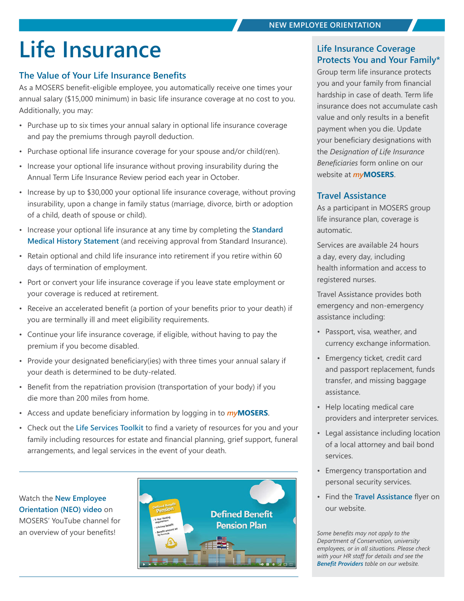# **Life Insurance Life Insurance Coverage**

### **The Value of Your Life Insurance Benefits**

As a MOSERS benefit-eligible employee, you automatically receive one times your annual salary (\$15,000 minimum) in basic life insurance coverage at no cost to you. Additionally, you may:

- Purchase up to six times your annual salary in optional life insurance coverage and pay the premiums through payroll deduction.
- Purchase optional life insurance coverage for your spouse and/or child(ren).
- Increase your optional life insurance without proving insurability during the Annual Term Life Insurance Review period each year in October.
- Increase by up to \$30,000 your optional life insurance coverage, without proving insurability, upon a change in family status (marriage, divorce, birth or adoption of a child, death of spouse or child).
- Increase your optional life insurance at any time by completing the **[Standard](https://www.standard.com/forms/ebid/mhsonly/index.html)  [Medical History Statement](https://www.standard.com/forms/ebid/mhsonly/index.html)** (and receiving approval from Standard Insurance).
- Retain optional and child life insurance into retirement if you retire within 60 days of termination of employment.
- Port or convert your life insurance coverage if you leave state employment or your coverage is reduced at retirement.
- Receive an accelerated benefit (a portion of your benefits prior to your death) if you are terminally ill and meet eligibility requirements.
- Continue your life insurance coverage, if eligible, without having to pay the premium if you become disabled.
- Provide your designated beneficiary(ies) with three times your annual salary if your death is determined to be duty-related.
- Benefit from the repatriation provision (transportation of your body) if you die more than 200 miles from home.
- Access and update beneficiary information by logging in to *my***[MOSERS](https://webaccess.mosers.org/MWSP/CCLGN3.pgm)**.
- Check out the **[Life Services Toolkit](https://www.mosers.org/docs/default-source/benefits/life-insurance/life-services-toolkit.pdf?sfvrsn=4afeb21a_15)** to find a variety of resources for you and your family including resources for estate and financial planning, grief support, funeral arrangements, and legal services in the event of your death.

Watch the **[New Employee](https://www.youtube.com/watch?v=WPWCKp1z4Hw&t=55s)  [Orientation \(NEO\) video](https://www.youtube.com/watch?v=WPWCKp1z4Hw&t=55s)** on MOSERS' YouTube channel for an overview of your benefits!



## **Protects You and Your Family\***

Group term life insurance protects you and your family from financial hardship in case of death. Term life insurance does not accumulate cash value and only results in a benefit payment when you die. Update your beneficiary designations with the *Designation of Life Insurance Beneficiaries* form online on our website at *my***[MOSERS](https://webaccess.mosers.org/MWSP/CCLGN3.pgm)**.

### **Travel Assistance**

As a participant in MOSERS group life insurance plan, coverage is automatic.

Services are available 24 hours a day, every day, including health information and access to registered nurses.

Travel Assistance provides both emergency and non-emergency assistance including:

- Passport, visa, weather, and currency exchange information.
- Emergency ticket, credit card and passport replacement, funds transfer, and missing baggage assistance.
- Help locating medical care providers and interpreter services.
- Legal assistance including location of a local attorney and bail bond services.
- Emergency transportation and personal security services.
- Find the **[Travel Assistance](https://www.mosers.org/docs/default-source/benefits/life-insurance/travel-assistance-flyer.pdf?sfvrsn=a89c5054_12)** flyer on our website.

*Some benefits may not apply to the Department of Conservation, university employees, or in all situations. Please check with your HR staff for details and see the [Benefit Providers](https://www.mosers.org/images/default-source/default-album/benefit-providers.png?sfvrsn=acc5d05c_2) table on our website.*